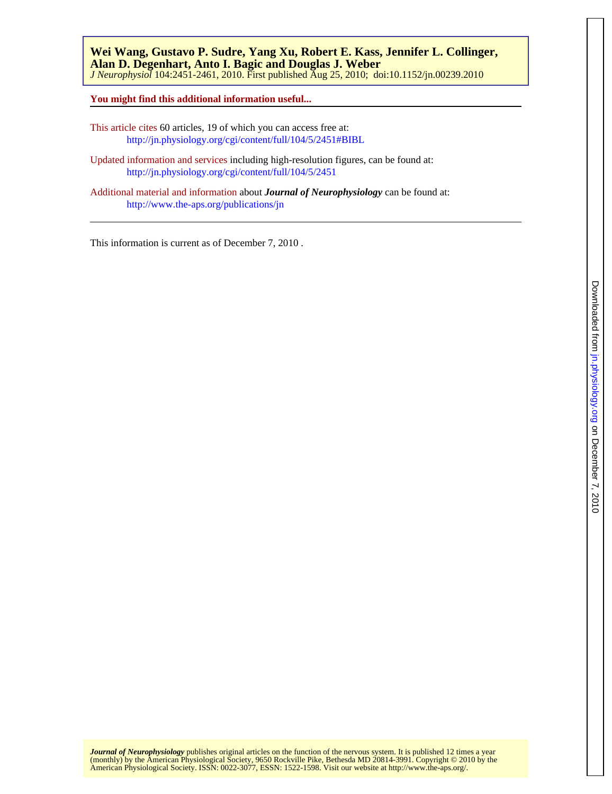*J Neurophysiol* 104:2451-2461, 2010. First published Aug 25, 2010; doi:10.1152/jn.00239.2010 **Alan D. Degenhart, Anto I. Bagic and Douglas J. Weber Wei Wang, Gustavo P. Sudre, Yang Xu, Robert E. Kass, Jennifer L. Collinger,**

**You might find this additional information useful...**

This article cites 60 articles, 19 of which you can access free at: <http://jn.physiology.org/cgi/content/full/104/5/2451#BIBL>

Updated information and services including high-resolution figures, can be found at: <http://jn.physiology.org/cgi/content/full/104/5/2451>

Additional material and information about *Journal of Neurophysiology* can be found at: <http://www.the-aps.org/publications/jn>

This information is current as of December 7, 2010 .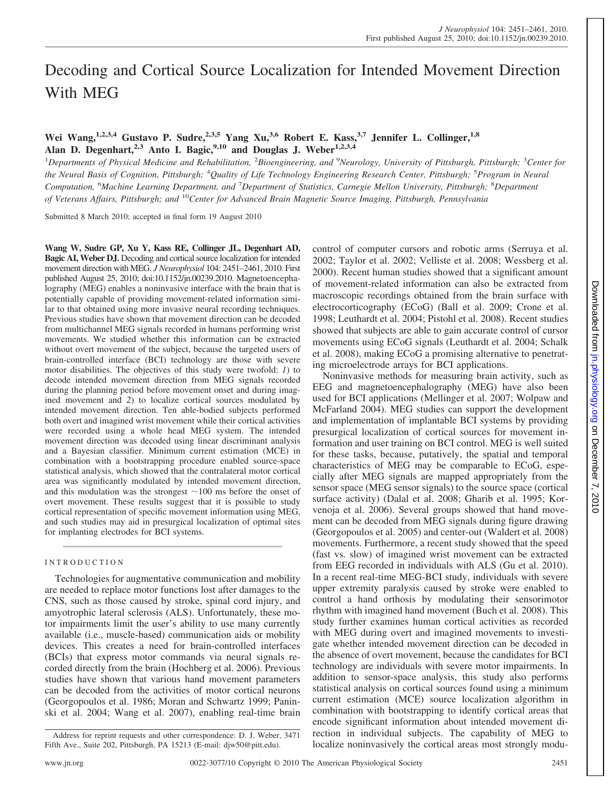# Decoding and Cortical Source Localization for Intended Movement Direction With MEG

# **Wei Wang,1,2,3,4 Gustavo P. Sudre,2,3,5 Yang Xu,3,6 Robert E. Kass,3,7 Jennifer L. Collinger,1,8 Alan D. Degenhart,2,3 Anto I. Bagic,9,10 and Douglas J. Weber1,2,3,4**

<sup>1</sup>Departments of Physical Medicine and Rehabilitation, <sup>2</sup>Bioengineering, and <sup>9</sup>Neurology, University of Pittsburgh, Pittsburgh; <sup>3</sup>Center for *the Neural Basis of Cognition, Pittsburgh;* <sup>4</sup> *Quality of Life Technology Engineering Research Center, Pittsburgh;* <sup>5</sup> *Program in Neural Computation,* <sup>6</sup> *Machine Learning Department, and* <sup>7</sup> *Department of Statistics, Carnegie Mellon University, Pittsburgh;* <sup>8</sup> *Department of Veterans Affairs, Pittsburgh; and* <sup>10</sup>*Center for Advanced Brain Magnetic Source Imaging, Pittsburgh, Pennsylvania*

Submitted 8 March 2010; accepted in final form 19 August 2010

**Wang W, Sudre GP, Xu Y, Kass RE, Collinger JL, Degenhart AD, Bagic AI, Weber DJ.** Decoding and cortical source localization for intended movement direction with MEG. *J Neurophysiol* 104: 2451–2461, 2010. First published August 25, 2010; doi:10.1152/jn.00239.2010. Magnetoencephalography (MEG) enables a noninvasive interface with the brain that is potentially capable of providing movement-related information similar to that obtained using more invasive neural recording techniques. Previous studies have shown that movement direction can be decoded from multichannel MEG signals recorded in humans performing wrist movements. We studied whether this information can be extracted without overt movement of the subject, because the targeted users of brain-controlled interface (BCI) technology are those with severe motor disabilities. The objectives of this study were twofold: *1*) to decode intended movement direction from MEG signals recorded during the planning period before movement onset and during imagined movement and *2*) to localize cortical sources modulated by intended movement direction. Ten able-bodied subjects performed both overt and imagined wrist movement while their cortical activities were recorded using a whole head MEG system. The intended movement direction was decoded using linear discriminant analysis and a Bayesian classifier. Minimum current estimation (MCE) in combination with a bootstrapping procedure enabled source-space statistical analysis, which showed that the contralateral motor cortical area was significantly modulated by intended movement direction, and this modulation was the strongest  $\sim$ 100 ms before the onset of overt movement. These results suggest that it is possible to study cortical representation of specific movement information using MEG, and such studies may aid in presurgical localization of optimal sites for implanting electrodes for BCI systems.

# INTRODUCTION

Technologies for augmentative communication and mobility are needed to replace motor functions lost after damages to the CNS, such as those caused by stroke, spinal cord injury, and amyotrophic lateral sclerosis (ALS). Unfortunately, these motor impairments limit the user's ability to use many currently available (i.e., muscle-based) communication aids or mobility devices. This creates a need for brain-controlled interfaces (BCIs) that express motor commands via neural signals recorded directly from the brain (Hochberg et al. 2006). Previous studies have shown that various hand movement parameters can be decoded from the activities of motor cortical neurons (Georgopoulos et al. 1986; Moran and Schwartz 1999; Paninski et al. 2004; Wang et al. 2007), enabling real-time brain control of computer cursors and robotic arms (Serruya et al. 2002; Taylor et al. 2002; Velliste et al. 2008; Wessberg et al. 2000). Recent human studies showed that a significant amount of movement-related information can also be extracted from macroscopic recordings obtained from the brain surface with electrocorticography (ECoG) (Ball et al. 2009; Crone et al. 1998; Leuthardt et al. 2004; Pistohl et al. 2008). Recent studies showed that subjects are able to gain accurate control of cursor movements using ECoG signals (Leuthardt et al. 2004; Schalk et al. 2008), making ECoG a promising alternative to penetrating microelectrode arrays for BCI applications.

Noninvasive methods for measuring brain activity, such as EEG and magnetoencephalography (MEG) have also been used for BCI applications (Mellinger et al. 2007; Wolpaw and McFarland 2004). MEG studies can support the development and implementation of implantable BCI systems by providing presurgical localization of cortical sources for movement information and user training on BCI control. MEG is well suited for these tasks, because, putatively, the spatial and temporal characteristics of MEG may be comparable to ECoG, especially after MEG signals are mapped appropriately from the sensor space (MEG sensor signals) to the source space (cortical surface activity) (Dalal et al. 2008; Gharib et al. 1995; Korvenoja et al. 2006). Several groups showed that hand movement can be decoded from MEG signals during figure drawing (Georgopoulos et al. 2005) and center-out (Waldert et al. 2008) movements. Furthermore, a recent study showed that the speed (fast vs. slow) of imagined wrist movement can be extracted from EEG recorded in individuals with ALS (Gu et al. 2010). In a recent real-time MEG-BCI study, individuals with severe upper extremity paralysis caused by stroke were enabled to control a hand orthosis by modulating their sensorimotor rhythm with imagined hand movement (Buch et al. 2008). This study further examines human cortical activities as recorded with MEG during overt and imagined movements to investigate whether intended movement direction can be decoded in the absence of overt movement, because the candidates for BCI technology are individuals with severe motor impairments. In addition to sensor-space analysis, this study also performs statistical analysis on cortical sources found using a minimum current estimation (MCE) source localization algorithm in combination with bootstrapping to identify cortical areas that encode significant information about intended movement direction in individual subjects. The capability of MEG to localize noninvasively the cortical areas most strongly modu-

Address for reprint requests and other correspondence: D. J. Weber, 3471 Fifth Ave., Suite 202, Pittsburgh, PA 15213 (E-mail: djw50@pitt.edu).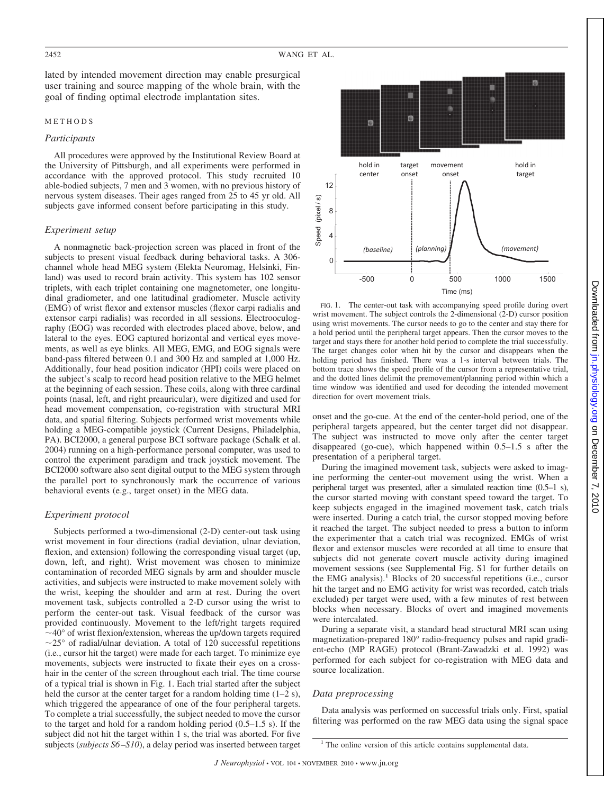lated by intended movement direction may enable presurgical user training and source mapping of the whole brain, with the goal of finding optimal electrode implantation sites.

# METHODS

#### *Participants*

All procedures were approved by the Institutional Review Board at the University of Pittsburgh, and all experiments were performed in accordance with the approved protocol. This study recruited 10 able-bodied subjects, 7 men and 3 women, with no previous history of nervous system diseases. Their ages ranged from 25 to 45 yr old. All subjects gave informed consent before participating in this study.

#### *Experiment setup*

A nonmagnetic back-projection screen was placed in front of the subjects to present visual feedback during behavioral tasks. A 306 channel whole head MEG system (Elekta Neuromag, Helsinki, Finland) was used to record brain activity. This system has 102 sensor triplets, with each triplet containing one magnetometer, one longitudinal gradiometer, and one latitudinal gradiometer. Muscle activity (EMG) of wrist flexor and extensor muscles (flexor carpi radialis and extensor carpi radialis) was recorded in all sessions. Electrooculography (EOG) was recorded with electrodes placed above, below, and lateral to the eyes. EOG captured horizontal and vertical eyes movements, as well as eye blinks. All MEG, EMG, and EOG signals were band-pass filtered between 0.1 and 300 Hz and sampled at 1,000 Hz. Additionally, four head position indicator (HPI) coils were placed on the subject's scalp to record head position relative to the MEG helmet at the beginning of each session. These coils, along with three cardinal points (nasal, left, and right preauricular), were digitized and used for head movement compensation, co-registration with structural MRI data, and spatial filtering. Subjects performed wrist movements while holding a MEG-compatible joystick (Current Designs, Philadelphia, PA). BCI2000, a general purpose BCI software package (Schalk et al. 2004) running on a high-performance personal computer, was used to control the experiment paradigm and track joystick movement. The BCI2000 software also sent digital output to the MEG system through the parallel port to synchronously mark the occurrence of various behavioral events (e.g., target onset) in the MEG data.

#### *Experiment protocol*

Subjects performed a two-dimensional (2-D) center-out task using wrist movement in four directions (radial deviation, ulnar deviation, flexion, and extension) following the corresponding visual target (up, down, left, and right). Wrist movement was chosen to minimize contamination of recorded MEG signals by arm and shoulder muscle activities, and subjects were instructed to make movement solely with the wrist, keeping the shoulder and arm at rest. During the overt movement task, subjects controlled a 2-D cursor using the wrist to perform the center-out task. Visual feedback of the cursor was provided continuously. Movement to the left/right targets required  $\sim$ 40 $\degree$  of wrist flexion/extension, whereas the up/down targets required  $\sim$ 25° of radial/ulnar deviation. A total of 120 successful repetitions (i.e., cursor hit the target) were made for each target. To minimize eye movements, subjects were instructed to fixate their eyes on a crosshair in the center of the screen throughout each trial. The time course of a typical trial is shown in Fig. 1. Each trial started after the subject held the cursor at the center target for a random holding time  $(1-2 s)$ , which triggered the appearance of one of the four peripheral targets. To complete a trial successfully, the subject needed to move the cursor to the target and hold for a random holding period (0.5–1.5 s). If the subject did not hit the target within 1 s, the trial was aborted. For five subjects (*subjects S6–S10*), a delay period was inserted between target



FIG. 1. The center-out task with accompanying speed profile during overt wrist movement. The subject controls the 2-dimensional (2-D) cursor position using wrist movements. The cursor needs to go to the center and stay there for a hold period until the peripheral target appears. Then the cursor moves to the target and stays there for another hold period to complete the trial successfully. The target changes color when hit by the cursor and disappears when the holding period has finished. There was a 1-s interval between trials. The bottom trace shows the speed profile of the cursor from a representative trial, and the dotted lines delimit the premovement/planning period within which a time window was identified and used for decoding the intended movement direction for overt movement trials.

onset and the go-cue. At the end of the center-hold period, one of the peripheral targets appeared, but the center target did not disappear. The subject was instructed to move only after the center target disappeared (go-cue), which happened within 0.5–1.5 s after the presentation of a peripheral target.

During the imagined movement task, subjects were asked to imagine performing the center-out movement using the wrist. When a peripheral target was presented, after a simulated reaction time (0.5–1 s), the cursor started moving with constant speed toward the target. To keep subjects engaged in the imagined movement task, catch trials were inserted. During a catch trial, the cursor stopped moving before it reached the target. The subject needed to press a button to inform the experimenter that a catch trial was recognized. EMGs of wrist flexor and extensor muscles were recorded at all time to ensure that subjects did not generate covert muscle activity during imagined movement sessions (see Supplemental Fig. S1 for further details on the EMG analysis).<sup>1</sup> Blocks of 20 successful repetitions (i.e., cursor hit the target and no EMG activity for wrist was recorded, catch trials excluded) per target were used, with a few minutes of rest between blocks when necessary. Blocks of overt and imagined movements were intercalated.

During a separate visit, a standard head structural MRI scan using magnetization-prepared 180° radio-frequency pulses and rapid gradient-echo (MP RAGE) protocol (Brant-Zawadzki et al. 1992) was performed for each subject for co-registration with MEG data and source localization.

# *Data preprocessing*

Data analysis was performed on successful trials only. First, spatial filtering was performed on the raw MEG data using the signal space

<sup>&</sup>lt;sup>1</sup> The online version of this article contains supplemental data.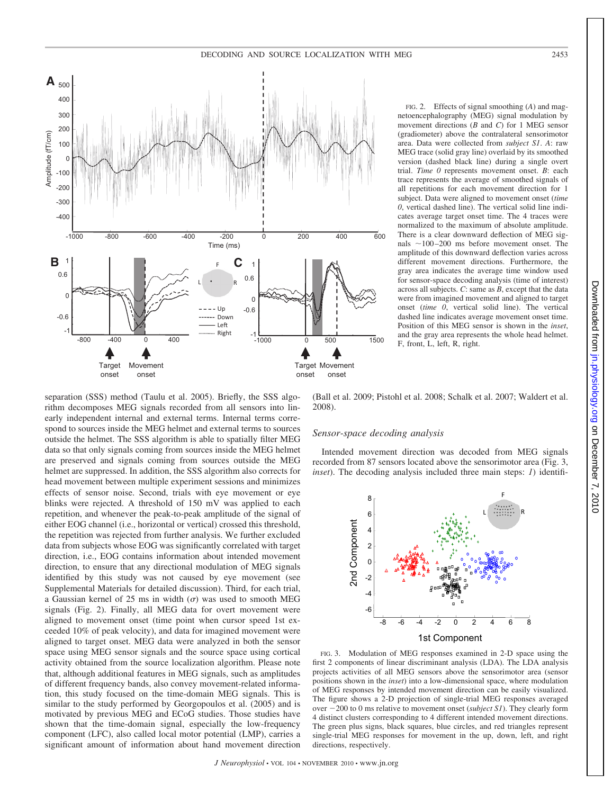

FIG. 2. Effects of signal smoothing (*A*) and magnetoencephalography (MEG) signal modulation by movement directions (*B* and *C*) for 1 MEG sensor (gradiometer) above the contralateral sensorimotor area. Data were collected from *subject S1*. *A*: raw MEG trace (solid gray line) overlaid by its smoothed version (dashed black line) during a single overt trial. *Time 0* represents movement onset. *B*: each trace represents the average of smoothed signals of all repetitions for each movement direction for 1 subject. Data were aligned to movement onset (*time 0*, vertical dashed line). The vertical solid line indicates average target onset time. The 4 traces were normalized to the maximum of absolute amplitude. There is a clear downward deflection of MEG signals  $\sim$ 100-200 ms before movement onset. The amplitude of this downward deflection varies across different movement directions. Furthermore, the gray area indicates the average time window used for sensor-space decoding analysis (time of interest) across all subjects. *C*: same as *B*, except that the data were from imagined movement and aligned to target onset (*time 0*, vertical solid line). The vertical dashed line indicates average movement onset time. Position of this MEG sensor is shown in the *inset*, and the gray area represents the whole head helmet. F, front, L, left, R, right.

separation (SSS) method (Taulu et al. 2005). Briefly, the SSS algorithm decomposes MEG signals recorded from all sensors into linearly independent internal and external terms. Internal terms correspond to sources inside the MEG helmet and external terms to sources outside the helmet. The SSS algorithm is able to spatially filter MEG data so that only signals coming from sources inside the MEG helmet are preserved and signals coming from sources outside the MEG helmet are suppressed. In addition, the SSS algorithm also corrects for head movement between multiple experiment sessions and minimizes effects of sensor noise. Second, trials with eye movement or eye blinks were rejected. A threshold of 150 mV was applied to each repetition, and whenever the peak-to-peak amplitude of the signal of either EOG channel (i.e., horizontal or vertical) crossed this threshold, the repetition was rejected from further analysis. We further excluded data from subjects whose EOG was significantly correlated with target direction, i.e., EOG contains information about intended movement direction, to ensure that any directional modulation of MEG signals identified by this study was not caused by eye movement (see Supplemental Materials for detailed discussion). Third, for each trial, a Gaussian kernel of 25 ms in width  $(\sigma)$  was used to smooth MEG signals (Fig. 2). Finally, all MEG data for overt movement were aligned to movement onset (time point when cursor speed 1st exceeded 10% of peak velocity), and data for imagined movement were aligned to target onset. MEG data were analyzed in both the sensor space using MEG sensor signals and the source space using cortical activity obtained from the source localization algorithm. Please note that, although additional features in MEG signals, such as amplitudes of different frequency bands, also convey movement-related information, this study focused on the time-domain MEG signals. This is similar to the study performed by Georgopoulos et al. (2005) and is motivated by previous MEG and ECoG studies. Those studies have shown that the time-domain signal, especially the low-frequency component (LFC), also called local motor potential (LMP), carries a significant amount of information about hand movement direction

(Ball et al. 2009; Pistohl et al. 2008; Schalk et al. 2007; Waldert et al. 2008).

#### *Sensor-space decoding analysis*

Intended movement direction was decoded from MEG signals recorded from 87 sensors located above the sensorimotor area (Fig. 3, *inset*). The decoding analysis included three main steps: *1*) identifi-



FIG. 3. Modulation of MEG responses examined in 2-D space using the first 2 components of linear discriminant analysis (LDA). The LDA analysis projects activities of all MEG sensors above the sensorimotor area (sensor positions shown in the *inset*) into a low-dimensional space, where modulation of MEG responses by intended movement direction can be easily visualized. The figure shows a 2-D projection of single-trial MEG responses averaged over  $-200$  to 0 ms relative to movement onset (*subject S1*). They clearly form 4 distinct clusters corresponding to 4 different intended movement directions. The green plus signs, black squares, blue circles, and red triangles represent single-trial MEG responses for movement in the up, down, left, and right directions, respectively.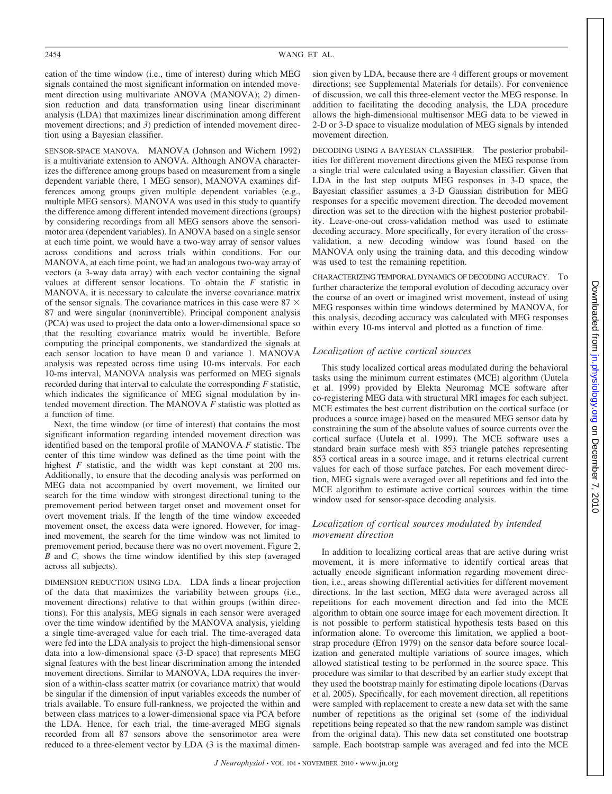cation of the time window (i.e., time of interest) during which MEG signals contained the most significant information on intended movement direction using multivariate ANOVA (MANOVA); *2*) dimension reduction and data transformation using linear discriminant analysis (LDA) that maximizes linear discrimination among different movement directions; and *3*) prediction of intended movement direction using a Bayesian classifier.

SENSOR-SPACE MANOVA. MANOVA (Johnson and Wichern 1992) is a multivariate extension to ANOVA. Although ANOVA characterizes the difference among groups based on measurement from a single dependent variable (here, 1 MEG sensor), MANOVA examines differences among groups given multiple dependent variables (e.g., multiple MEG sensors). MANOVA was used in this study to quantify the difference among different intended movement directions (groups) by considering recordings from all MEG sensors above the sensorimotor area (dependent variables). In ANOVA based on a single sensor at each time point, we would have a two-way array of sensor values across conditions and across trials within conditions. For our MANOVA, at each time point, we had an analogous two-way array of vectors (a 3-way data array) with each vector containing the signal values at different sensor locations. To obtain the *F* statistic in MANOVA, it is necessary to calculate the inverse covariance matrix of the sensor signals. The covariance matrices in this case were 87  $\times$ 87 and were singular (noninvertible). Principal component analysis (PCA) was used to project the data onto a lower-dimensional space so that the resulting covariance matrix would be invertible. Before computing the principal components, we standardized the signals at each sensor location to have mean 0 and variance 1. MANOVA analysis was repeated across time using 10-ms intervals. For each 10-ms interval, MANOVA analysis was performed on MEG signals recorded during that interval to calculate the corresponding *F* statistic, which indicates the significance of MEG signal modulation by intended movement direction. The MANOVA *F* statistic was plotted as a function of time.

Next, the time window (or time of interest) that contains the most significant information regarding intended movement direction was identified based on the temporal profile of MANOVA *F* statistic. The center of this time window was defined as the time point with the highest *F* statistic, and the width was kept constant at 200 ms. Additionally, to ensure that the decoding analysis was performed on MEG data not accompanied by overt movement, we limited our search for the time window with strongest directional tuning to the premovement period between target onset and movement onset for overt movement trials. If the length of the time window exceeded movement onset, the excess data were ignored. However, for imagined movement, the search for the time window was not limited to premovement period, because there was no overt movement. Figure 2, *B* and *C,* shows the time window identified by this step (averaged across all subjects).

DIMENSION REDUCTION USING LDA. LDA finds a linear projection of the data that maximizes the variability between groups (i.e., movement directions) relative to that within groups (within directions). For this analysis, MEG signals in each sensor were averaged over the time window identified by the MANOVA analysis, yielding a single time-averaged value for each trial. The time-averaged data were fed into the LDA analysis to project the high-dimensional sensor data into a low-dimensional space (3-D space) that represents MEG signal features with the best linear discrimination among the intended movement directions. Similar to MANOVA, LDA requires the inversion of a within-class scatter matrix (or covariance matrix) that would be singular if the dimension of input variables exceeds the number of trials available. To ensure full-rankness, we projected the within and between class matrices to a lower-dimensional space via PCA before the LDA. Hence, for each trial, the time-averaged MEG signals recorded from all 87 sensors above the sensorimotor area were reduced to a three-element vector by LDA (3 is the maximal dimension given by LDA, because there are 4 different groups or movement directions; see Supplemental Materials for details). For convenience of discussion, we call this three-element vector the MEG response. In addition to facilitating the decoding analysis, the LDA procedure allows the high-dimensional multisensor MEG data to be viewed in 2-D or 3-D space to visualize modulation of MEG signals by intended movement direction.

DECODING USING A BAYESIAN CLASSIFIER. The posterior probabilities for different movement directions given the MEG response from a single trial were calculated using a Bayesian classifier. Given that LDA in the last step outputs MEG responses in 3-D space, the Bayesian classifier assumes a 3-D Gaussian distribution for MEG responses for a specific movement direction. The decoded movement direction was set to the direction with the highest posterior probability. Leave-one-out cross-validation method was used to estimate decoding accuracy. More specifically, for every iteration of the crossvalidation, a new decoding window was found based on the MANOVA only using the training data, and this decoding window was used to test the remaining repetition.

CHARACTERIZING TEMPORAL DYNAMICS OF DECODING ACCURACY. To further characterize the temporal evolution of decoding accuracy over the course of an overt or imagined wrist movement, instead of using MEG responses within time windows determined by MANOVA, for this analysis, decoding accuracy was calculated with MEG responses within every 10-ms interval and plotted as a function of time.

# *Localization of active cortical sources*

This study localized cortical areas modulated during the behavioral tasks using the minimum current estimates (MCE) algorithm (Uutela et al. 1999) provided by Elekta Neuromag MCE software after co-registering MEG data with structural MRI images for each subject. MCE estimates the best current distribution on the cortical surface (or produces a source image) based on the measured MEG sensor data by constraining the sum of the absolute values of source currents over the cortical surface (Uutela et al. 1999). The MCE software uses a standard brain surface mesh with 853 triangle patches representing 853 cortical areas in a source image, and it returns electrical current values for each of those surface patches. For each movement direction, MEG signals were averaged over all repetitions and fed into the MCE algorithm to estimate active cortical sources within the time window used for sensor-space decoding analysis.

# *Localization of cortical sources modulated by intended movement direction*

In addition to localizing cortical areas that are active during wrist movement, it is more informative to identify cortical areas that actually encode significant information regarding movement direction, i.e., areas showing differential activities for different movement directions. In the last section, MEG data were averaged across all repetitions for each movement direction and fed into the MCE algorithm to obtain one source image for each movement direction. It is not possible to perform statistical hypothesis tests based on this information alone. To overcome this limitation, we applied a bootstrap procedure (Efron 1979) on the sensor data before source localization and generated multiple variations of source images, which allowed statistical testing to be performed in the source space. This procedure was similar to that described by an earlier study except that they used the bootstrap mainly for estimating dipole locations (Darvas et al. 2005). Specifically, for each movement direction, all repetitions were sampled with replacement to create a new data set with the same number of repetitions as the original set (some of the individual repetitions being repeated so that the new random sample was distinct from the original data). This new data set constituted one bootstrap sample. Each bootstrap sample was averaged and fed into the MCE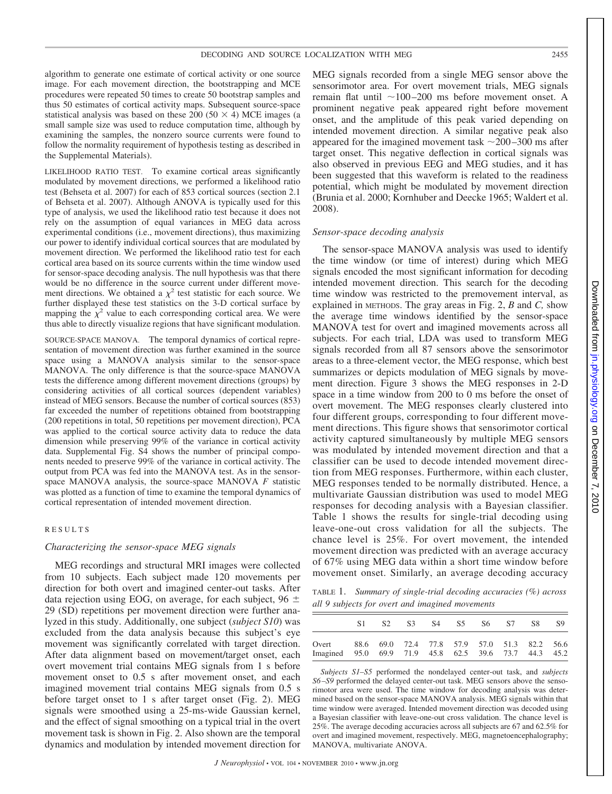algorithm to generate one estimate of cortical activity or one source image. For each movement direction, the bootstrapping and MCE procedures were repeated 50 times to create 50 bootstrap samples and thus 50 estimates of cortical activity maps. Subsequent source-space statistical analysis was based on these 200 (50  $\times$  4) MCE images (a small sample size was used to reduce computation time, although by examining the samples, the nonzero source currents were found to follow the normality requirement of hypothesis testing as described in the Supplemental Materials).

LIKELIHOOD RATIO TEST. To examine cortical areas significantly modulated by movement directions, we performed a likelihood ratio test (Behseta et al. 2007) for each of 853 cortical sources (section 2.1 of Behseta et al. 2007). Although ANOVA is typically used for this type of analysis, we used the likelihood ratio test because it does not rely on the assumption of equal variances in MEG data across experimental conditions (i.e., movement directions), thus maximizing our power to identify individual cortical sources that are modulated by movement direction. We performed the likelihood ratio test for each cortical area based on its source currents within the time window used for sensor-space decoding analysis. The null hypothesis was that there would be no difference in the source current under different movement directions. We obtained a  $\chi^2$  test statistic for each source. We further displayed these test statistics on the 3-D cortical surface by mapping the  $\chi^2$  value to each corresponding cortical area. We were thus able to directly visualize regions that have significant modulation.

SOURCE-SPACE MANOVA. The temporal dynamics of cortical representation of movement direction was further examined in the source space using a MANOVA analysis similar to the sensor-space MANOVA. The only difference is that the source-space MANOVA tests the difference among different movement directions (groups) by considering activities of all cortical sources (dependent variables) instead of MEG sensors. Because the number of cortical sources (853) far exceeded the number of repetitions obtained from bootstrapping (200 repetitions in total, 50 repetitions per movement direction), PCA was applied to the cortical source activity data to reduce the data dimension while preserving 99% of the variance in cortical activity data. Supplemental Fig. S4 shows the number of principal components needed to preserve 99% of the variance in cortical activity. The output from PCA was fed into the MANOVA test. As in the sensorspace MANOVA analysis, the source-space MANOVA *F* statistic was plotted as a function of time to examine the temporal dynamics of cortical representation of intended movement direction.

# RESULTS

# *Characterizing the sensor-space MEG signals*

MEG recordings and structural MRI images were collected from 10 subjects. Each subject made 120 movements per direction for both overt and imagined center-out tasks. After data rejection using EOG, on average, for each subject,  $96 \pm$ 29 (SD) repetitions per movement direction were further analyzed in this study. Additionally, one subject (*subject S10*) was excluded from the data analysis because this subject's eye movement was significantly correlated with target direction. After data alignment based on movement/target onset, each overt movement trial contains MEG signals from 1 s before movement onset to 0.5 s after movement onset, and each imagined movement trial contains MEG signals from 0.5 s before target onset to 1 s after target onset (Fig. 2). MEG signals were smoothed using a 25-ms-wide Gaussian kernel, and the effect of signal smoothing on a typical trial in the overt movement task is shown in Fig. 2. Also shown are the temporal dynamics and modulation by intended movement direction for MEG signals recorded from a single MEG sensor above the sensorimotor area. For overt movement trials, MEG signals remain flat until  $\sim$ 100-200 ms before movement onset. A prominent negative peak appeared right before movement onset, and the amplitude of this peak varied depending on intended movement direction. A similar negative peak also appeared for the imagined movement task  $\sim$  200-300 ms after target onset. This negative deflection in cortical signals was also observed in previous EEG and MEG studies, and it has been suggested that this waveform is related to the readiness potential, which might be modulated by movement direction (Brunia et al. 2000; Kornhuber and Deecke 1965; Waldert et al. 2008).

#### *Sensor-space decoding analysis*

The sensor-space MANOVA analysis was used to identify the time window (or time of interest) during which MEG signals encoded the most significant information for decoding intended movement direction. This search for the decoding time window was restricted to the premovement interval, as explained in METHODS. The gray areas in Fig. 2, *B* and *C,* show the average time windows identified by the sensor-space MANOVA test for overt and imagined movements across all subjects. For each trial, LDA was used to transform MEG signals recorded from all 87 sensors above the sensorimotor areas to a three-element vector, the MEG response, which best summarizes or depicts modulation of MEG signals by movement direction. Figure 3 shows the MEG responses in 2-D space in a time window from 200 to 0 ms before the onset of overt movement. The MEG responses clearly clustered into four different groups, corresponding to four different movement directions. This figure shows that sensorimotor cortical activity captured simultaneously by multiple MEG sensors was modulated by intended movement direction and that a classifier can be used to decode intended movement direction from MEG responses. Furthermore, within each cluster, MEG responses tended to be normally distributed. Hence, a multivariate Gaussian distribution was used to model MEG responses for decoding analysis with a Bayesian classifier. Table 1 shows the results for single-trial decoding using leave-one-out cross validation for all the subjects. The chance level is 25%. For overt movement, the intended movement direction was predicted with an average accuracy of 67% using MEG data within a short time window before movement onset. Similarly, an average decoding accuracy

TABLE 1. *Summary of single-trial decoding accuracies (%) across all 9 subjects for overt and imagined movements*

|                                                                | -S2.                                         | S <sup>3</sup> | S4 | S5 | S <sub>6</sub> S <sub>7</sub> | <b>S8</b> | S9. |
|----------------------------------------------------------------|----------------------------------------------|----------------|----|----|-------------------------------|-----------|-----|
| Overt<br>Imagined 95.0 69.9 71.9 45.8 62.5 39.6 73.7 44.3 45.2 | 88.6 69.0 72.4 77.8 57.9 57.0 51.3 82.2 56.6 |                |    |    |                               |           |     |

*Subjects S1–S5* performed the nondelayed center-out task, and *subjects S6–S9* performed the delayed center-out task. MEG sensors above the sensorimotor area were used. The time window for decoding analysis was determined based on the sensor-space MANOVA analysis. MEG signals within that time window were averaged. Intended movement direction was decoded using a Bayesian classifier with leave-one-out cross validation. The chance level is 25%. The average decoding accuracies across all subjects are 67 and 62.5% for overt and imagined movement, respectively. MEG, magnetoencephalography; MANOVA, multivariate ANOVA.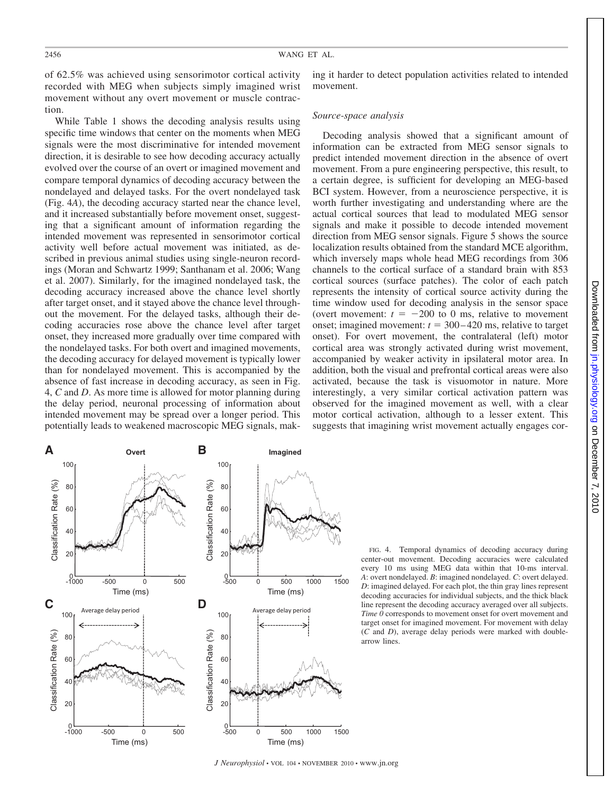of 62.5% was achieved using sensorimotor cortical activity recorded with MEG when subjects simply imagined wrist movement without any overt movement or muscle contraction.

While Table 1 shows the decoding analysis results using specific time windows that center on the moments when MEG signals were the most discriminative for intended movement direction, it is desirable to see how decoding accuracy actually evolved over the course of an overt or imagined movement and compare temporal dynamics of decoding accuracy between the nondelayed and delayed tasks. For the overt nondelayed task (Fig. 4*A*), the decoding accuracy started near the chance level, and it increased substantially before movement onset, suggesting that a significant amount of information regarding the intended movement was represented in sensorimotor cortical activity well before actual movement was initiated, as described in previous animal studies using single-neuron recordings (Moran and Schwartz 1999; Santhanam et al. 2006; Wang et al. 2007). Similarly, for the imagined nondelayed task, the decoding accuracy increased above the chance level shortly after target onset, and it stayed above the chance level throughout the movement. For the delayed tasks, although their decoding accuracies rose above the chance level after target onset, they increased more gradually over time compared with the nondelayed tasks. For both overt and imagined movements, the decoding accuracy for delayed movement is typically lower than for nondelayed movement. This is accompanied by the absence of fast increase in decoding accuracy, as seen in Fig. 4, *C* and *D*. As more time is allowed for motor planning during the delay period, neuronal processing of information about intended movement may be spread over a longer period. This potentially leads to weakened macroscopic MEG signals, making it harder to detect population activities related to intended movement.

## *Source-space analysis*

Decoding analysis showed that a significant amount of information can be extracted from MEG sensor signals to predict intended movement direction in the absence of overt movement. From a pure engineering perspective, this result, to a certain degree, is sufficient for developing an MEG-based BCI system. However, from a neuroscience perspective, it is worth further investigating and understanding where are the actual cortical sources that lead to modulated MEG sensor signals and make it possible to decode intended movement direction from MEG sensor signals. Figure 5 shows the source localization results obtained from the standard MCE algorithm, which inversely maps whole head MEG recordings from 306 channels to the cortical surface of a standard brain with 853 cortical sources (surface patches). The color of each patch represents the intensity of cortical source activity during the time window used for decoding analysis in the sensor space (overt movement:  $t = -200$  to 0 ms, relative to movement onset; imagined movement:  $t = 300 - 420$  ms, relative to target onset). For overt movement, the contralateral (left) motor cortical area was strongly activated during wrist movement, accompanied by weaker activity in ipsilateral motor area. In addition, both the visual and prefrontal cortical areas were also activated, because the task is visuomotor in nature. More interestingly, a very similar cortical activation pattern was observed for the imagined movement as well, with a clear motor cortical activation, although to a lesser extent. This suggests that imagining wrist movement actually engages cor-



FIG. 4. Temporal dynamics of decoding accuracy during center-out movement. Decoding accuracies were calculated every 10 ms using MEG data within that 10-ms interval. *A*: overt nondelayed. *B*: imagined nondelayed. *C*: overt delayed. *D*: imagined delayed. For each plot, the thin gray lines represent decoding accuracies for individual subjects, and the thick black line represent the decoding accuracy averaged over all subjects. *Time 0* corresponds to movement onset for overt movement and target onset for imagined movement. For movement with delay (*C* and *D*), average delay periods were marked with doublearrow lines.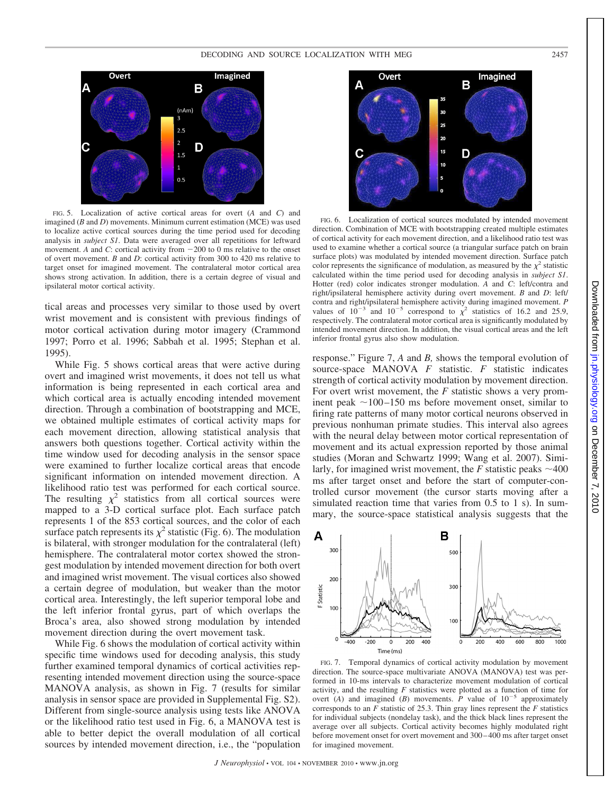

FIG. 5. Localization of active cortical areas for overt (*A* and *C*) and imagined (*B* and *D*) movements. Minimum current estimation (MCE) was used to localize active cortical sources during the time period used for decoding analysis in *subject S1*. Data were averaged over all repetitions for leftward movement. A and  $C$ : cortical activity from  $-200$  to 0 ms relative to the onset of overt movement. *B* and *D*: cortical activity from 300 to 420 ms relative to target onset for imagined movement. The contralateral motor cortical area shows strong activation. In addition, there is a certain degree of visual and ipsilateral motor cortical activity.

tical areas and processes very similar to those used by overt wrist movement and is consistent with previous findings of motor cortical activation during motor imagery (Crammond 1997; Porro et al. 1996; Sabbah et al. 1995; Stephan et al. 1995).

While Fig. 5 shows cortical areas that were active during overt and imagined wrist movements, it does not tell us what information is being represented in each cortical area and which cortical area is actually encoding intended movement direction. Through a combination of bootstrapping and MCE, we obtained multiple estimates of cortical activity maps for each movement direction, allowing statistical analysis that answers both questions together. Cortical activity within the time window used for decoding analysis in the sensor space were examined to further localize cortical areas that encode significant information on intended movement direction. A likelihood ratio test was performed for each cortical source. The resulting  $\chi^2$  statistics from all cortical sources were mapped to a 3-D cortical surface plot. Each surface patch represents 1 of the 853 cortical sources, and the color of each surface patch represents its  $\chi^2$  statistic (Fig. 6). The modulation is bilateral, with stronger modulation for the contralateral (left) hemisphere. The contralateral motor cortex showed the strongest modulation by intended movement direction for both overt and imagined wrist movement. The visual cortices also showed a certain degree of modulation, but weaker than the motor cortical area. Interestingly, the left superior temporal lobe and the left inferior frontal gyrus, part of which overlaps the Broca's area, also showed strong modulation by intended movement direction during the overt movement task.

While Fig. 6 shows the modulation of cortical activity within specific time windows used for decoding analysis, this study further examined temporal dynamics of cortical activities representing intended movement direction using the source-space MANOVA analysis, as shown in Fig. 7 (results for similar analysis in sensor space are provided in Supplemental Fig. S2). Different from single-source analysis using tests like ANOVA or the likelihood ratio test used in Fig. 6, a MANOVA test is able to better depict the overall modulation of all cortical sources by intended movement direction, i.e., the "population



FIG. 6. Localization of cortical sources modulated by intended movement direction. Combination of MCE with bootstrapping created multiple estimates of cortical activity for each movement direction, and a likelihood ratio test was used to examine whether a cortical source (a triangular surface patch on brain surface plots) was modulated by intended movement direction. Surface patch color represents the significance of modulation, as measured by the  $\chi^2$  statistic calculated within the time period used for decoding analysis in *subject S1*. Hotter (red) color indicates stronger modulation. *A* and *C*: left/contra and right/ipsilateral hemisphere activity during overt movement. *B* and *D*: left/ contra and right/ipsilateral hemisphere activity during imagined movement. *P* values of  $10^{-3}$  and  $10^{-5}$  correspond to  $\chi^2$  statistics of 16.2 and 25.9, respectively. The contralateral motor cortical area is significantly modulated by intended movement direction. In addition, the visual cortical areas and the left inferior frontal gyrus also show modulation.

response." Figure 7, *A* and *B,* shows the temporal evolution of source-space MANOVA *F* statistic. *F* statistic indicates strength of cortical activity modulation by movement direction. For overt wrist movement, the *F* statistic shows a very prominent peak  $\sim$ 100-150 ms before movement onset, similar to firing rate patterns of many motor cortical neurons observed in previous nonhuman primate studies. This interval also agrees with the neural delay between motor cortical representation of movement and its actual expression reported by those animal studies (Moran and Schwartz 1999; Wang et al. 2007). Similarly, for imagined wrist movement, the  $F$  statistic peaks  $\sim$ 400 ms after target onset and before the start of computer-controlled cursor movement (the cursor starts moving after a simulated reaction time that varies from 0.5 to 1 s). In summary, the source-space statistical analysis suggests that the



FIG. 7. Temporal dynamics of cortical activity modulation by movement direction. The source-space multivariate ANOVA (MANOVA) test was performed in 10-ms intervals to characterize movement modulation of cortical activity, and the resulting *F* statistics were plotted as a function of time for overt (A) and imagined (B) movements.  $\vec{P}$  value of  $10^{-5}$  approximately corresponds to an *F* statistic of 25.3. Thin gray lines represent the *F* statistics for individual subjects (nondelay task), and the thick black lines represent the average over all subjects. Cortical activity becomes highly modulated right before movement onset for overt movement and 300 – 400 ms after target onset for imagined movement.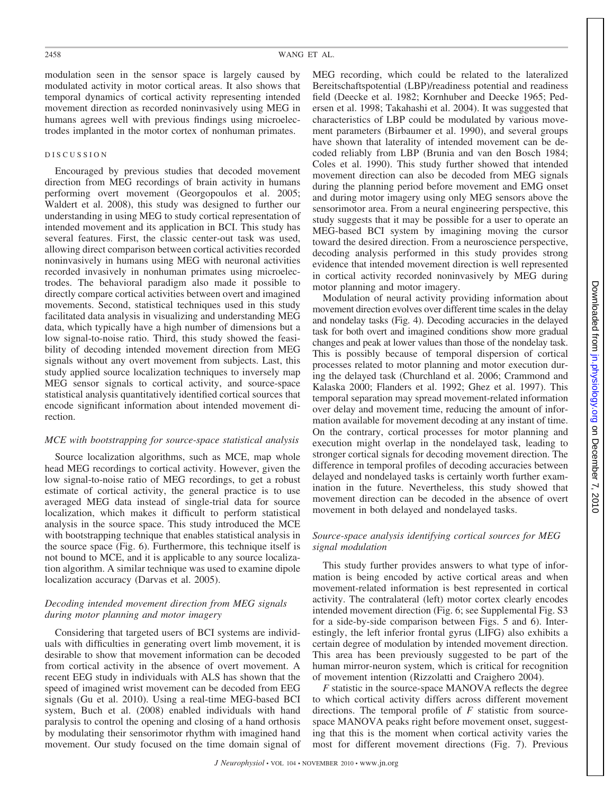modulation seen in the sensor space is largely caused by modulated activity in motor cortical areas. It also shows that temporal dynamics of cortical activity representing intended movement direction as recorded noninvasively using MEG in humans agrees well with previous findings using microelectrodes implanted in the motor cortex of nonhuman primates.

# DISCUSSION

Encouraged by previous studies that decoded movement direction from MEG recordings of brain activity in humans performing overt movement (Georgopoulos et al. 2005; Waldert et al. 2008), this study was designed to further our understanding in using MEG to study cortical representation of intended movement and its application in BCI. This study has several features. First, the classic center-out task was used, allowing direct comparison between cortical activities recorded noninvasively in humans using MEG with neuronal activities recorded invasively in nonhuman primates using microelectrodes. The behavioral paradigm also made it possible to directly compare cortical activities between overt and imagined movements. Second, statistical techniques used in this study facilitated data analysis in visualizing and understanding MEG data, which typically have a high number of dimensions but a low signal-to-noise ratio. Third, this study showed the feasibility of decoding intended movement direction from MEG signals without any overt movement from subjects. Last, this study applied source localization techniques to inversely map MEG sensor signals to cortical activity, and source-space statistical analysis quantitatively identified cortical sources that encode significant information about intended movement direction.

# *MCE with bootstrapping for source-space statistical analysis*

Source localization algorithms, such as MCE, map whole head MEG recordings to cortical activity. However, given the low signal-to-noise ratio of MEG recordings, to get a robust estimate of cortical activity, the general practice is to use averaged MEG data instead of single-trial data for source localization, which makes it difficult to perform statistical analysis in the source space. This study introduced the MCE with bootstrapping technique that enables statistical analysis in the source space (Fig. 6). Furthermore, this technique itself is not bound to MCE, and it is applicable to any source localization algorithm. A similar technique was used to examine dipole localization accuracy (Darvas et al. 2005).

# *Decoding intended movement direction from MEG signals during motor planning and motor imagery*

Considering that targeted users of BCI systems are individuals with difficulties in generating overt limb movement, it is desirable to show that movement information can be decoded from cortical activity in the absence of overt movement. A recent EEG study in individuals with ALS has shown that the speed of imagined wrist movement can be decoded from EEG signals (Gu et al. 2010). Using a real-time MEG-based BCI system, Buch et al. (2008) enabled individuals with hand paralysis to control the opening and closing of a hand orthosis by modulating their sensorimotor rhythm with imagined hand movement. Our study focused on the time domain signal of MEG recording, which could be related to the lateralized Bereitschaftspotential (LBP)/readiness potential and readiness field (Deecke et al. 1982; Kornhuber and Deecke 1965; Pedersen et al. 1998; Takahashi et al. 2004). It was suggested that characteristics of LBP could be modulated by various movement parameters (Birbaumer et al. 1990), and several groups have shown that laterality of intended movement can be decoded reliably from LBP (Brunia and van den Bosch 1984; Coles et al. 1990). This study further showed that intended movement direction can also be decoded from MEG signals during the planning period before movement and EMG onset and during motor imagery using only MEG sensors above the sensorimotor area. From a neural engineering perspective, this study suggests that it may be possible for a user to operate an MEG-based BCI system by imagining moving the cursor toward the desired direction. From a neuroscience perspective, decoding analysis performed in this study provides strong evidence that intended movement direction is well represented in cortical activity recorded noninvasively by MEG during motor planning and motor imagery.

Modulation of neural activity providing information about movement direction evolves over different time scales in the delay and nondelay tasks (Fig. 4). Decoding accuracies in the delayed task for both overt and imagined conditions show more gradual changes and peak at lower values than those of the nondelay task. This is possibly because of temporal dispersion of cortical processes related to motor planning and motor execution during the delayed task (Churchland et al. 2006; Crammond and Kalaska 2000; Flanders et al. 1992; Ghez et al. 1997). This temporal separation may spread movement-related information over delay and movement time, reducing the amount of information available for movement decoding at any instant of time. On the contrary, cortical processes for motor planning and execution might overlap in the nondelayed task, leading to stronger cortical signals for decoding movement direction. The difference in temporal profiles of decoding accuracies between delayed and nondelayed tasks is certainly worth further examination in the future. Nevertheless, this study showed that movement direction can be decoded in the absence of overt movement in both delayed and nondelayed tasks.

# *Source-space analysis identifying cortical sources for MEG signal modulation*

This study further provides answers to what type of information is being encoded by active cortical areas and when movement-related information is best represented in cortical activity. The contralateral (left) motor cortex clearly encodes intended movement direction (Fig. 6; see Supplemental Fig. S3 for a side-by-side comparison between Figs. 5 and 6). Interestingly, the left inferior frontal gyrus (LIFG) also exhibits a certain degree of modulation by intended movement direction. This area has been previously suggested to be part of the human mirror-neuron system, which is critical for recognition of movement intention (Rizzolatti and Craighero 2004).

*F* statistic in the source-space MANOVA reflects the degree to which cortical activity differs across different movement directions. The temporal profile of *F* statistic from sourcespace MANOVA peaks right before movement onset, suggesting that this is the moment when cortical activity varies the most for different movement directions (Fig. 7). Previous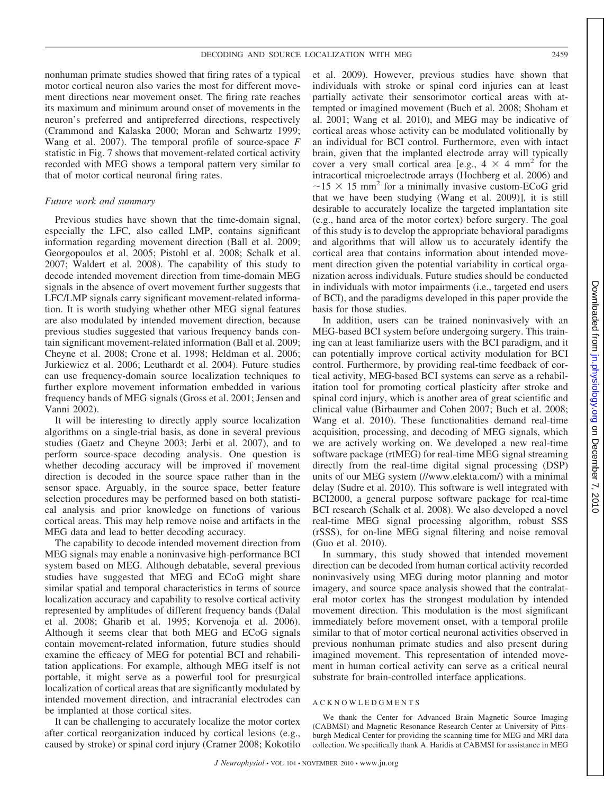nonhuman primate studies showed that firing rates of a typical motor cortical neuron also varies the most for different movement directions near movement onset. The firing rate reaches its maximum and minimum around onset of movements in the neuron's preferred and antipreferred directions, respectively (Crammond and Kalaska 2000; Moran and Schwartz 1999; Wang et al. 2007). The temporal profile of source-space *F* statistic in Fig. 7 shows that movement-related cortical activity recorded with MEG shows a temporal pattern very similar to that of motor cortical neuronal firing rates.

#### *Future work and summary*

Previous studies have shown that the time-domain signal, especially the LFC, also called LMP, contains significant information regarding movement direction (Ball et al. 2009; Georgopoulos et al. 2005; Pistohl et al. 2008; Schalk et al. 2007; Waldert et al. 2008). The capability of this study to decode intended movement direction from time-domain MEG signals in the absence of overt movement further suggests that LFC/LMP signals carry significant movement-related information. It is worth studying whether other MEG signal features are also modulated by intended movement direction, because previous studies suggested that various frequency bands contain significant movement-related information (Ball et al. 2009; Cheyne et al. 2008; Crone et al. 1998; Heldman et al. 2006; Jurkiewicz et al. 2006; Leuthardt et al. 2004). Future studies can use frequency-domain source localization techniques to further explore movement information embedded in various frequency bands of MEG signals (Gross et al. 2001; Jensen and Vanni 2002).

It will be interesting to directly apply source localization algorithms on a single-trial basis, as done in several previous studies (Gaetz and Cheyne 2003; Jerbi et al. 2007), and to perform source-space decoding analysis. One question is whether decoding accuracy will be improved if movement direction is decoded in the source space rather than in the sensor space. Arguably, in the source space, better feature selection procedures may be performed based on both statistical analysis and prior knowledge on functions of various cortical areas. This may help remove noise and artifacts in the MEG data and lead to better decoding accuracy.

The capability to decode intended movement direction from MEG signals may enable a noninvasive high-performance BCI system based on MEG. Although debatable, several previous studies have suggested that MEG and ECoG might share similar spatial and temporal characteristics in terms of source localization accuracy and capability to resolve cortical activity represented by amplitudes of different frequency bands (Dalal et al. 2008; Gharib et al. 1995; Korvenoja et al. 2006). Although it seems clear that both MEG and ECoG signals contain movement-related information, future studies should examine the efficacy of MEG for potential BCI and rehabilitation applications. For example, although MEG itself is not portable, it might serve as a powerful tool for presurgical localization of cortical areas that are significantly modulated by intended movement direction, and intracranial electrodes can be implanted at those cortical sites.

It can be challenging to accurately localize the motor cortex after cortical reorganization induced by cortical lesions (e.g., caused by stroke) or spinal cord injury (Cramer 2008; Kokotilo et al. 2009). However, previous studies have shown that individuals with stroke or spinal cord injuries can at least partially activate their sensorimotor cortical areas with attempted or imagined movement (Buch et al. 2008; Shoham et al. 2001; Wang et al. 2010), and MEG may be indicative of cortical areas whose activity can be modulated volitionally by an individual for BCI control. Furthermore, even with intact brain, given that the implanted electrode array will typically cover a very small cortical area [e.g.,  $4 \times 4$  mm<sup>2</sup> for the intracortical microelectrode arrays (Hochberg et al. 2006) and  $\sim$ 15  $\times$  15 mm<sup>2</sup> for a minimally invasive custom-ECoG grid that we have been studying (Wang et al. 2009)], it is still desirable to accurately localize the targeted implantation site (e.g., hand area of the motor cortex) before surgery. The goal of this study is to develop the appropriate behavioral paradigms and algorithms that will allow us to accurately identify the cortical area that contains information about intended movement direction given the potential variability in cortical organization across individuals. Future studies should be conducted in individuals with motor impairments (i.e., targeted end users of BCI), and the paradigms developed in this paper provide the basis for those studies.

In addition, users can be trained noninvasively with an MEG-based BCI system before undergoing surgery. This training can at least familiarize users with the BCI paradigm, and it can potentially improve cortical activity modulation for BCI control. Furthermore, by providing real-time feedback of cortical activity, MEG-based BCI systems can serve as a rehabilitation tool for promoting cortical plasticity after stroke and spinal cord injury, which is another area of great scientific and clinical value (Birbaumer and Cohen 2007; Buch et al. 2008; Wang et al. 2010). These functionalities demand real-time acquisition, processing, and decoding of MEG signals, which we are actively working on. We developed a new real-time software package (rtMEG) for real-time MEG signal streaming directly from the real-time digital signal processing (DSP) units of our MEG system (//www.elekta.com/) with a minimal delay (Sudre et al. 2010). This software is well integrated with BCI2000, a general purpose software package for real-time BCI research (Schalk et al. 2008). We also developed a novel real-time MEG signal processing algorithm, robust SSS (rSSS), for on-line MEG signal filtering and noise removal (Guo et al. 2010).

In summary, this study showed that intended movement direction can be decoded from human cortical activity recorded noninvasively using MEG during motor planning and motor imagery, and source space analysis showed that the contralateral motor cortex has the strongest modulation by intended movement direction. This modulation is the most significant immediately before movement onset, with a temporal profile similar to that of motor cortical neuronal activities observed in previous nonhuman primate studies and also present during imagined movement. This representation of intended movement in human cortical activity can serve as a critical neural substrate for brain-controlled interface applications.

# ACKNOWLEDGMENTS

We thank the Center for Advanced Brain Magnetic Source Imaging (CABMSI) and Magnetic Resonance Research Center at University of Pittsburgh Medical Center for providing the scanning time for MEG and MRI data collection. We specifically thank A. Haridis at CABMSI for assistance in MEG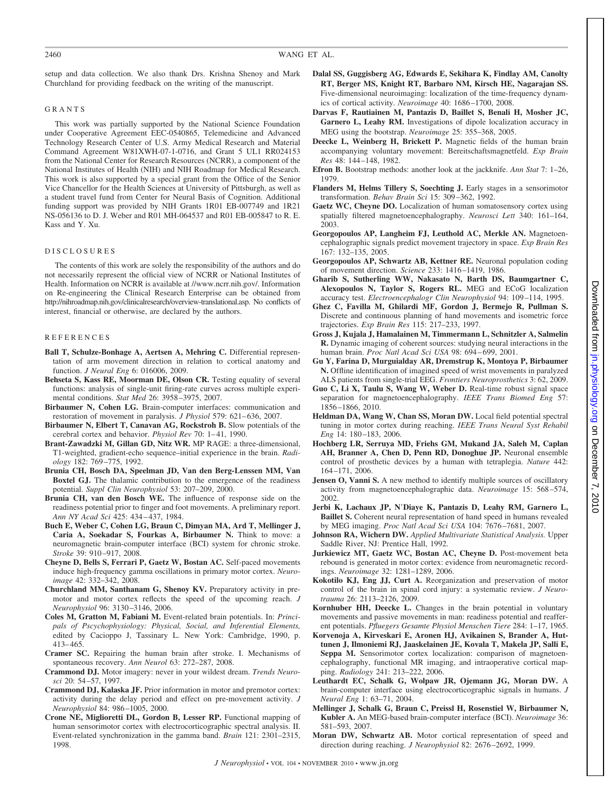setup and data collection. We also thank Drs. Krishna Shenoy and Mark Churchland for providing feedback on the writing of the manuscript.

#### GRANTS

This work was partially supported by the National Science Foundation under Cooperative Agreement EEC-0540865, Telemedicine and Advanced Technology Research Center of U.S. Army Medical Research and Material Command Agreement W81XWH-07-1-0716, and Grant 5 UL1 RR024153 from the National Center for Research Resources (NCRR), a component of the National Institutes of Health (NIH) and NIH Roadmap for Medical Research. This work is also supported by a special grant from the Office of the Senior Vice Chancellor for the Health Sciences at University of Pittsburgh, as well as a student travel fund from Center for Neural Basis of Cognition. Additional funding support was provided by NIH Grants 1R01 EB-007749 and 1R21 NS-056136 to D. J. Weber and R01 MH-064537 and R01 EB-005847 to R. E. Kass and Y. Xu.

#### DISCLOSURES

The contents of this work are solely the responsibility of the authors and do not necessarily represent the official view of NCRR or National Institutes of Health. Information on NCRR is available at //www.ncrr.nih.gov/. Information on Re-engineering the Clinical Research Enterprise can be obtained from http://nihroadmap.nih.gov/clinicalresearch/overview-translational.asp. No conflicts of interest, financial or otherwise, are declared by the authors.

#### **REFERENCES**

- **Ball T, Schulze-Bonhage A, Aertsen A, Mehring C.** Differential representation of arm movement direction in relation to cortical anatomy and function. *J Neural Eng* 6: 016006, 2009.
- **Behseta S, Kass RE, Moorman DE, Olson CR.** Testing equality of several functions: analysis of single-unit firing-rate curves across multiple experimental conditions. *Stat Med* 26: 3958 –3975, 2007.
- **Birbaumer N, Cohen LG.** Brain-computer interfaces: communication and restoration of movement in paralysis. *J Physiol* 579: 621-636, 2007.
- **Birbaumer N, Elbert T, Canavan AG, Rockstroh B.** Slow potentials of the cerebral cortex and behavior. *Physiol Rev* 70: 1-41, 1990.
- **Brant-Zawadzki M, Gillan GD, Nitz WR.** MP RAGE: a three-dimensional, T1-weighted, gradient-echo sequence–initial experience in the brain. *Radiology* 182: 769 –775, 1992.
- **Brunia CH, Bosch DA, Speelman JD, Van den Berg-Lenssen MM, Van Boxtel GJ.** The thalamic contribution to the emergence of the readiness potential. *Suppl Clin Neurophysiol* 53: 207–209, 2000.
- **Brunia CH, van den Bosch WE.** The influence of response side on the readiness potential prior to finger and foot movements. A preliminary report. *Ann NY Acad Sci* 425: 434 – 437, 1984.
- **Buch E, Weber C, Cohen LG, Braun C, Dimyan MA, Ard T, Mellinger J, Caria A, Soekadar S, Fourkas A, Birbaumer N.** Think to move: a neuromagnetic brain-computer interface (BCI) system for chronic stroke. *Stroke* 39: 910 –917, 2008.
- **Cheyne D, Bells S, Ferrari P, Gaetz W, Bostan AC.** Self-paced movements induce high-frequency gamma oscillations in primary motor cortex. *Neuroimage* 42: 332–342, 2008.
- **Churchland MM, Santhanam G, Shenoy KV.** Preparatory activity in premotor and motor cortex reflects the speed of the upcoming reach. *J Neurophysiol* 96: 3130 –3146, 2006.
- **Coles M, Gratton M, Fabiani M.** Event-related brain potentials. In: *Principals of Pscychophysiology: Physical, Social, and Inferential Elements,* edited by Cacioppo J, Tassinary L. New York: Cambridge, 1990, p. 413– 465.
- **Cramer SC.** Repairing the human brain after stroke. I. Mechanisms of spontaneous recovery. *Ann Neurol* 63: 272–287, 2008.
- **Crammond DJ.** Motor imagery: never in your wildest dream. *Trends Neurosci* 20: 54 –57, 1997.
- **Crammond DJ, Kalaska JF.** Prior information in motor and premotor cortex: activity during the delay period and effect on pre-movement activity. *J Neurophysiol* 84: 986 –1005, 2000.
- **Crone NE, Miglioretti DL, Gordon B, Lesser RP.** Functional mapping of human sensorimotor cortex with electrocorticographic spectral analysis. II. Event-related synchronization in the gamma band. *Brain* 121: 2301–2315, 1998.
- **Dalal SS, Guggisberg AG, Edwards E, Sekihara K, Findlay AM, Canolty RT, Berger MS, Knight RT, Barbaro NM, Kirsch HE, Nagarajan SS.** Five-dimensional neuroimaging: localization of the time-frequency dynamics of cortical activity. *Neuroimage* 40: 1686 –1700, 2008.
- **Darvas F, Rautiainen M, Pantazis D, Baillet S, Benali H, Mosher JC, Garnero L, Leahy RM.** Investigations of dipole localization accuracy in MEG using the bootstrap. *Neuroimage* 25: 355–368, 2005.
- **Deecke L, Weinberg H, Brickett P.** Magnetic fields of the human brain accompanying voluntary movement: Bereitschaftsmagnetfeld. *Exp Brain Res* 48: 144 –148, 1982.
- **Efron B.** Bootstrap methods: another look at the jackknife. *Ann Stat* 7: 1–26, 1979.
- **Flanders M, Helms Tillery S, Soechting J.** Early stages in a sensorimotor transformation. *Behav Brain Sci* 15: 309 –362, 1992.
- **Gaetz WC, Cheyne DO.** Localization of human somatosensory cortex using spatially filtered magnetoencephalography. *Neurosci Lett* 340: 161–164, 2003.
- **Georgopoulos AP, Langheim FJ, Leuthold AC, Merkle AN.** Magnetoencephalographic signals predict movement trajectory in space. *Exp Brain Res* 167: 132–135, 2005.
- **Georgopoulos AP, Schwartz AB, Kettner RE.** Neuronal population coding of movement direction. *Science* 233: 1416 –1419, 1986.
- **Gharib S, Sutherling WW, Nakasato N, Barth DS, Baumgartner C, Alexopoulos N, Taylor S, Rogers RL.** MEG and ECoG localization accuracy test. *Electroencephalogr Clin Neurophysiol* 94: 109 –114, 1995.
- **Ghez C, Favilla M, Ghilardi MF, Gordon J, Bermejo R, Pullman S.** Discrete and continuous planning of hand movements and isometric force trajectories. *Exp Brain Res* 115: 217–233, 1997.
- **Gross J, Kujala J, Hamalainen M, Timmermann L, Schnitzler A, Salmelin R.** Dynamic imaging of coherent sources: studying neural interactions in the human brain. *Proc Natl Acad Sci USA* 98: 694 – 699, 2001.
- **Gu Y, Farina D, Murguialday AR, Dremstrup K, Montoya P, Birbaumer N.** Offline identification of imagined speed of wrist movements in paralyzed ALS patients from single-trial EEG. *Frontiers Neuroprosthetics* 3: 62, 2009.
- **Guo C, Li X, Taulu S, Wang W, Weber D.** Real-time robust signal space separation for magnetoencephalography. *IEEE Trans Biomed Eng* 57: 1856 –1866, 2010.
- **Heldman DA, Wang W, Chan SS, Moran DW.** Local field potential spectral tuning in motor cortex during reaching. *IEEE Trans Neural Syst Rehabil Eng* 14: 180-183, 2006.
- **Hochberg LR, Serruya MD, Friehs GM, Mukand JA, Saleh M, Caplan AH, Branner A, Chen D, Penn RD, Donoghue JP.** Neuronal ensemble control of prosthetic devices by a human with tetraplegia. *Nature* 442: 164 –171, 2006.
- **Jensen O, Vanni S.** A new method to identify multiple sources of oscillatory activity from magnetoencephalographic data. *Neuroimage* 15: 568 –574, 2002.
- **Jerbi K, Lachaux JP, N**=**Diaye K, Pantazis D, Leahy RM, Garnero L, Baillet S.** Coherent neural representation of hand speed in humans revealed by MEG imaging. *Proc Natl Acad Sci USA* 104: 7676 –7681, 2007.
- **Johnson RA, Wichern DW.** *Applied Multivariate Statistical Analysis.* Upper Saddle River, NJ: Prentice Hall, 1992.
- **Jurkiewicz MT, Gaetz WC, Bostan AC, Cheyne D.** Post-movement beta rebound is generated in motor cortex: evidence from neuromagnetic recordings. *Neuroimage* 32: 1281–1289, 2006.
- **Kokotilo KJ, Eng JJ, Curt A.** Reorganization and preservation of motor control of the brain in spinal cord injury: a systematic review. *J Neurotrauma* 26: 2113–2126, 2009.
- **Kornhuber HH, Deecke L.** Changes in the brain potential in voluntary movements and passive movements in man: readiness potential and reafferent potentials. *Pfluegers Gesamte Physiol Menschen Tiere* 284: 1–17, 1965.
- **Korvenoja A, Kirveskari E, Aronen HJ, Avikainen S, Brander A, Huttunen J, Ilmoniemi RJ, Jaaskelainen JE, Kovala T, Makela JP, Salli E, Seppa M.** Sensorimotor cortex localization: comparison of magnetoencephalography, functional MR imaging, and intraoperative cortical mapping. *Radiology* 241: 213–222, 2006.
- **Leuthardt EC, Schalk G, Wolpaw JR, Ojemann JG, Moran DW.** A brain-computer interface using electrocorticographic signals in humans. *J Neural Eng* 1: 63–71, 2004.
- **Mellinger J, Schalk G, Braun C, Preissl H, Rosenstiel W, Birbaumer N, Kubler A.** An MEG-based brain-computer interface (BCI). *Neuroimage* 36: 581–593, 2007.
- **Moran DW, Schwartz AB.** Motor cortical representation of speed and direction during reaching. *J Neurophysiol* 82: 2676 –2692, 1999.